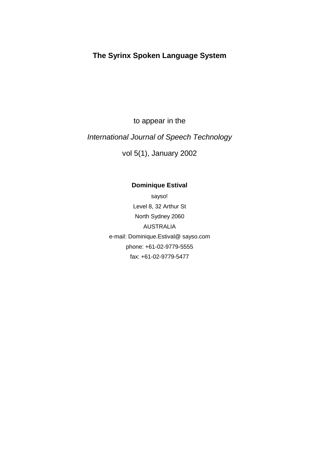# **The Syrinx Spoken Language System**

to appear in the

# International Journal of Speech Technology

vol 5(1), January 2002

# **Dominique Estival**

sayso! Level8,32ArthurSt North Sydney 2060 AUSTRALIA e-mail: Dominique.Estival@ sayso.com phone: +61-02-9779-5555 fax: +61-02-9779-5477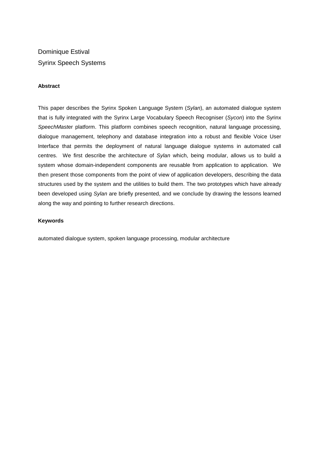# **Dominique Estival** Syrinx Speech Systems

## **Abstract**

This paper describes the Syrinx Spoken Language Sys tem (Sylan), an automated dialogue system that is fully integrated with the Syrinx Large Voca bulary Speech Recogniser (Sycon) into the Syrinx SpeechMaster platform. This platform combines speech recognit ion, natural language processing, dialogue management, telephony and database integra tion into a robust and flexible Voice User Interface that permits the deployment of natural la nguage dialogue systems in automated call centres. We first describe the architecture of Sylan which, being modular, allows us to build a system whose domain-independent components are reus able from application to application. We then present those components from the point of vie work application developers, describing the data structures used by the system and the utilities to build them. The two prototypes which have already been developed using Sylan are briefly presented, and we conclude by drawing the lessons learned along the way and pointing to further research directions.

#### **Keywords**

automated dialogue system, spoken language processi ng, modular architecture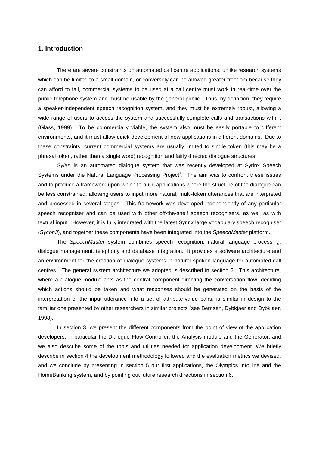## **1. Introduction**

which can be limited to a small domain, or converse ly can be allowed greater freedom because they can afford to fail, commercial systems to be used a t a call centre must work in real-time over the public telephone system and must be usable by the q eneral public. Thus, by definition, they require a speaker-independent speech recognition system, an dthey must be extremely robust, allowing a wide range of users to access the system and succes sfully complete calls and transactions with it (Glass, 1999). To be commercially viable, the syst em also must be easily portable to different environments, and it must allow quick development o free wapplications in different domains. Due to these constraints, current commercial systems are u sually limited to single token (this may be a phrasaltoken, rather than a single word) recogniti on and fairly directed dialogue structures.

There are severe constraints on automated call cent reapplications: unlike research systems

Sylan is an automated dialogue system that was recently developed at Syrinx Speech Systems under the Natural Language Processing Proje  $ct<sup>1</sup>$ . The aim was to confront these issues and to produce a framework upon which to build apple incations where the structure of the dialogue can be less constrained, allowing users to input more n atural, multi-token utterances that are interpreted and processed in several stages. This framework wa sdeveloped independently of any particular speech recogniser and can be used with other off-th e-shelf speech recognisers, as well as with textual input. However, it is fully integrated wit hthe latest Syrinx large vocabulary speech recogni ser (Sycon3), and together these components have been integrated that other Speech Master platform.

The SpeechMaster system combines speech recognition, natural langua ge processing, dialogue management, telephony and database integra tion. It provides a software architecture and an environment for the creation of dialogue systems innatural spoken language for automated call centres. The general system architecture we adopte dis described in section 2. This architecture, where a dialogue module acts as the central compone nt directing the conversation flow, deciding which actions should be taken and what responses sheald be generated on the basis of the interpretation of the input utterance into a set of attribute-value pairs, is similar in design to the familiar one presented by other researchers in simi lar projects (see Bernsen, Dybkiaer and Dybkiaer, 1998).

In section 3, we present the different components for the point of view of the application developers, in particular the Dialogue Flow Control ler, the Analysis module and the Generator, and we also describe some of the tools and utilities ne eded for application development. We briefly describe insection 4 the development methodology facil of our determination metrics we devised, and we conclude by presenting in section 5 our firs t applications, the Olympics InfoLine and the HomeBanking system, and by pointing outfuture rese arch directions in section 6.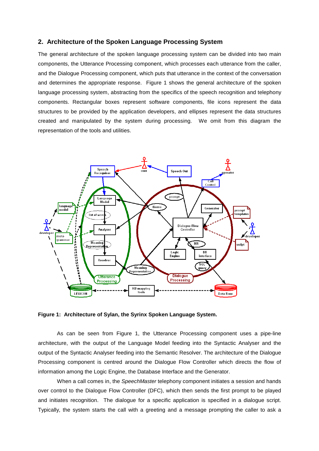#### **2. Architecture of the Spoken Language Processing System**

The general architecture of the spoken language pro cessing system can be divided into two main components, the Utterance Processing component, whi ch processes each utterance from the caller, and the Dialogue Processing component, which puts that utterance in the context of the conversation and determines the appropriate response. Figure 1 shows the general architecture of the spoken language processing system, abstracting from the sp ecifics of the speech recognition and telephony components. Rectangular boxes represent software co mponents, file icons represent the data structures to be provided by the application develo pers, and ellipses represent the data structures created and manipulated by the system during proces sing. We omit from this diagram the representation of the tools and utilities.



#### **Figure 1: Architecture of Sylan, the Syrinx Spoken Language System.**

As can be seen from Figure 1, the Utterance Process ing component uses a pipe-line architecture, with the output of the Language Model feeding into the Syntactic Analyser and the output of the Syntactic Analyser feeding into the S emantic Resolver. The architecture of the Dialogue Processing component is centred around the Dialogue Flow Controller which directs the flow of information among the Logic Engine, the Database In terface and the Generator.

When a call comes in, the Speech Master telephony component initiates as ession and hands over control to the Dialogue Flow Controller (DFC), which then sends the first prompt to be played and initiates recognition. The dialogue for a spec ific application is specified in a dialogue script. Typically, the system starts the call with a greeti ng and a message prompting the caller to ask a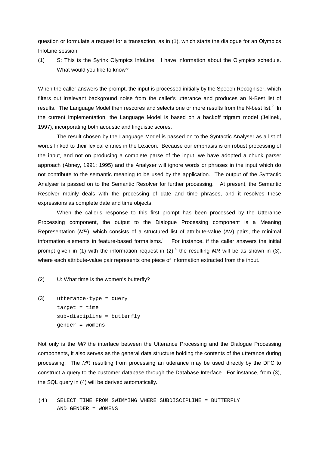question or formulate a request for a transaction, as in (1), which starts the dialogue for an Olympic s InfoLinesession.

(1) S: This is the Syrinx Olympics InfoLine! I hav e information about the Olympics schedule. What would you like to know?

When the caller answers the prompt, the input is pr ocessed initially by the Speech Recogniser, which filters out irrelevant background noise from the ca ller's utterance and produces an N-Best list of results. The Language Model then rescores and sele cts one or more results from the N-best list.  $2_{\text{In}}$ the current implementation, the Language Model is b ased on a backoff trigram model (Jelinek, 1997), incorporating both acoustic and linguistics cores.

The result chosen by the Language Model is passed on the Syntactic Analyse rasalist of words linked to their lexical entries in the Lexico n. Because our emphasis is on robust processing of the input, and not on producing a complete parse of the input, we have adopted a chunk parser approach (Abney, 1991; 1995) and the Analyser will ignore words or phrases in the input which do not contribute to the semantic meaning to be used b y the application. The output of the Syntactic Analyser is passed on to the Semantic Resolver for further processing. At present, the Semantic Resolver mainly deals with the processing of date a nd time phrases, and it resolves these expressions as completed at eand time objects.

When the caller's response to this first prompt has been processed by the Utterance Processing component, the output to the Dialogue Pr ocessing component is a Meaning Representation ( $MR$ ), which consists of a structured list of attribute -value (AV) pairs, the minimal information elements in feature-based formalisms.  $\quad \, ^3\,$  For instance, if the caller answers the initial prompt given in (1) with the information request in (2),  $\frac{4}{3}$  the resulting *MR* will be as shown in (3), where each attribute-value pair represents one piec eof information extracted from the input.

(2) U: What time is the women's butterfly?

(3) utterance-type = query  $target = time$ sub-discipline = butterfly gender = womens

Not only is the MR the interface between the Utterance Processing and the Dialogue Processing components, it also serves as the general data stru cture holding the contents of the utterance during processing. The MR resulting from processing an utterance may be used directly by the DFC to construct a query to the customer database through the Database Interface. For instance, from (3), the SQL query in (4) will be derived automatically.

(4) SELECT TIME FROM SWIMMING WHERE SUBDISCIPLINE = BUTTERFLY AND GENDER = WOMENS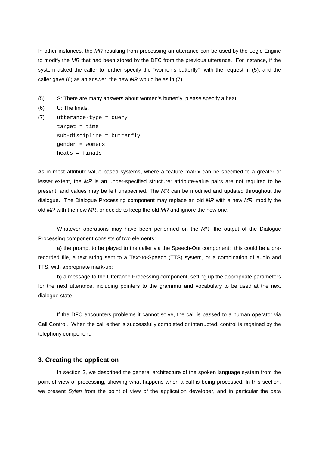In other instances, the MR resulting from processing an utterance can be used by the Logic Engine to modify the MR that had been stored by the DFC from the previous utterance. For instance, if the system asked the caller to further specify the "wom en's butterfly" with the request in (5), and the caller gave  $(6)$  as an answer, the new  $MR$  would be as in (7).

```
(5) S: The reare many answers about women's butterf ly, please specify a heat
```

```
(6) U: The finals.
```

```
(7) utterance-type = query 
      target = timesub-discipline = butterfly 
      gender = womens 
     heats = finals
```
As in most attribute-value based systems, where a feature matrix can be specified to a greater or lesser extent, the  $MR$  is an under-specified structure: attribute-value  $p$  airs are not required to be present, and values may be left unspecified. The MR can be modified and updated throughout the dialogue. The Dialogue Processing component may re place an old MR with a new MR, modify the old MR with the new MR, ordecide to keep the old MR and ignore the new one.

Whatever operations may have been performed on the  $MR$ , the output of the Dialogue Processing component consists of two elements:

a) the prompt to be played to the caller via the Sp eech-Out component; this could be a prerecorded file, a text string sent to a Text-to-Spee ch (TTS) system, or a combination of audio and TTS, with appropriate mark-up;

b) a message to the Utterance Processing component, setting up the appropriate parameters for the next utterance, including pointers to the g rammar and vocabulary to be used at the next dialogue state.

If the DFC encounters problems it cannot solve, the call is passed to a human operator via Call Control. When the call either is successfully completed or interrupted, control is regained by the telephony component.

# **3. Creating the application**

In section 2, we described the general architecture of the spoken language system from the point of view of processing, showing what happens w hen a call is being processed. In this section, we present Sylan from the point of view of the application develope r, and in particular the data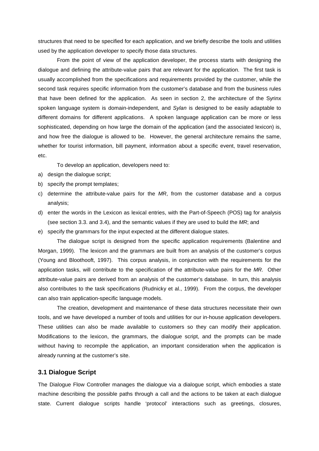used by the application developer to specify those data structures.

From the point of view of the application developer, the process starts with designing the dialogue and defining the attribute-value pairs tha tare relevant for the application. The first task is usually accomplished from the specifications and re quirements provided by the customer, while the second task requires specific information from the customer's database and from the business rules that have been defined for the application. As see n in section 2, the architecture of the Syrinx spoken language system is domain-independent, and Sylan is designed to be easily adaptable to different domains for different applications. A sp oken language application can be more or less sophisticated, depending on how large the domain of the application (and the associated lexicon) is, and how free the dialogue is allowed to be. Howeve r, the general architecture remains the same, whether for tourist information, bill payment, info rmation about a specific event, travel reservation, etc.

structures that need to be specified for each appli cation, and we briefly describe the tools and utili ties

Todevelopanapplication, developers need to:

- a) designthedialoguescript;
- b) specify the prompt templates;
- c) determine the attribute-value pairs for the  $MR$ , from the customer database and a corpus analysis;
- (see section  $3.3$ , and  $3.4$ ), and the semantic values if they are used to build the MR; and
- e) specify the grammars for the inpute xpected at two hedifferent dialogue states.

Morgan, 1999). The lexicon and the grammars are bu ilt from an analysis of the customer's corpus (Young and Bloothooft, 1997). This corpus analysis, in conjunction with the requirements for the attribute-value pairs are derived from an analysis of the customer's database. In turn, this analysis also contributes to the task specifications (Rudnic ky et al., 1999). From the corpus, the developer can also train application-specific language models

- d) enter the words in the Lexicon as lexical entrie s, with the Part-of-Speech (POS) tag for analysis
- The dialogue script is designed from the specific a pplication requirements (Balentine and application tasks, will contribute to the specifica tion of the attribute-value pairs for the MR. Other

tools, and we have developed a number of tools and utilities for our in-house application developers. These utilities can also be made available to custo mers so they can modify their application. Modifications to the lexicon, the grammars, the dia logue script, and the prompts can be made without having to recompile the application, an imp ortant consideration when the application is alreadyrunning at the customer's site.

The creation, development and maintenance of these data structures necessitate their own

## **3.1 Dialogue Script**

The Dialogue Flow Controller manages the dialogue v ia a dialogue script, which embodies a state machine describing the possible paths through a cal l and the actions to be taken at each dialogue state. Current dialogue scripts handle 'protocol' i nteractions such as greetings, closures,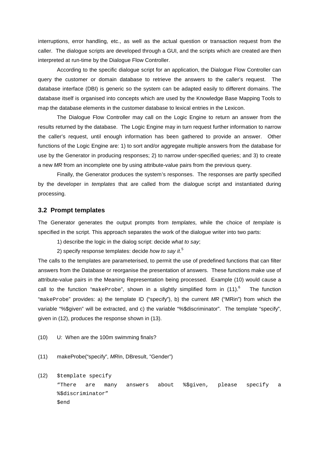interruptions, error handling, etc., as well as the actual question or transaction request from the caller. The dialogues cripts are developed through a GUI, and the scripts which are created are then interpreted at run-time by the Dialogue Flow Contro ller.

According to the specific dialogue script for an ap and plication, the Dialogue Flow Controller can query the customer or domain database to retrieve t he answers to the caller's request. The database interface (DBI) is generic so the system c an be adapted easily to different domains. The database itself is organised into concepts which ar eused by the Knowledge Base Mapping Tools to map the database elements in the customer database to lexical entries in the Lexicon.

The Dialogue Flow Controller may call on the Logic Engine to return an answer from the results returned by the database. The Logic Engine may inturn request further information to narrow the caller's request, until enough information has been gathered to provide an answer. Other functions of the Logic Engine are: 1) to sort and/o r aggregate multiple answers from the database for use by the Generator in producing responses; 2) to marrow under-specified queries; and 3) to create anew MR from an incomplete one by using attribute-value pa irs from the previous query.

Finally, the Generator produces the system's respon ses. The responses are partly specified by the developer in *templates* that are called from the dialogue script and insta ntiated during processing.

#### **3.2 Prompt templates**

The Generator generates the output prompts from templates, while the choice of template is specified in the script. This approach separates the ework of the dialogue writer into two parts:

1) describe the logic in the dialog script: decide what to say ;

2) specify response templates: decide howtosavit 5

The calls to the templates are parameterised, to pe rmit the use of predefined functions that can filte r answers from the Database or reorganise the present ation of answers. These functions make use of attribute-value pairs in the Meaning Representation being processed. Example (10) would cause a call to the function "  $makeProbe$ ", shown in a slightly simplified form in (11). <sup>6</sup> The function "makeProbe" provides: a) the template ID ("specify"), b) the current  $MR$  ("MRin") from which the variable "%\$given" will be extracted, and c) the va riable "%\$discriminator". The template "specify", given in (12), produces the responses hown in (13).

(10) U: When are the 100 m swimming finals?

(11) makeProbe("specify", MRin, DBresult, "Gender")

(12) \$template specify

"There are many answers about %\$given, please specify a %\$discriminator" \$end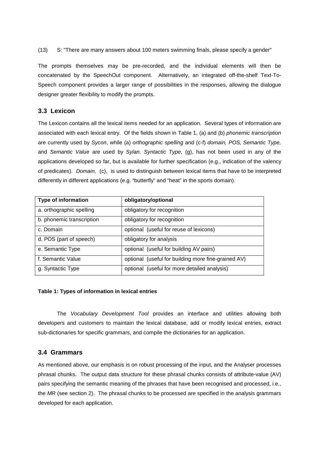#### (13) S: "Therearemanyanswersabout 100 meters sw imming finals, please specify agender"

The prompts themselves may be pre-recorded, and the individual elements will then be concatenated by the SpeechOut component. Alternati vely, an integrated off-the-shelf Text-To-Speech component provides a larger range of possibi lities in the responses, allowing the dialogue designer greater flexibility to modify the prompts.

## **3.3 Lexicon**

The Lexicon contains all the lexical items needed fried and princation. Several types of information arrival te associated with each lexical entry. Of the fields shown in Table 1, (a) and (b) phonemic transcription are currently used by Sycon, while (a) orthographic spelling and (c-f) domain, POS, Semantic Type, and Semantic Value are used by Sylan. Syntactic Type, (g), has not been used in any of the applications developed so far, but is available for further specification (e.g., indication of the value of the v of predicates). Domain, (c), is used to distinguish between lexical item sthat have to be interpreted differently indifferent applications (e.g. "butter fly" and "heat" in the sports domain).

| <b>Typeofinformation</b> | obligatory/optional                               |
|--------------------------|---------------------------------------------------|
| a.orthographicspelling   | obligatoryforrecognitio<br>n                      |
| b.phonemictranscription  | obligatoryforrecognitio<br>n                      |
| c.Domain                 | optional(usefulforreuseoflexicons)                |
| d.POS(partofspeech)      | obligatoryforanalysis                             |
| e.SemanticType           | optional(usefulforbuildingAV<br>pairs)            |
| f.SemanticValue          | optional(usefulforbuildingmo<br>refine-grainedAV) |
| g.SyntacticType          | optional(usefulformoredetail<br>edanalysis)       |

#### **Table 1: Types of information in lexical entries**

The Vocabulary Development Tool provides an interface and utilities allowing both developers and customers to maintain the lexical da tabase, add or modify lexical entries, extract sub-dictionaries for specific grammars, and compile the dictionaries for an application.

# **3.4 Grammars**

As mentioned above, our emphasis is on robust proce ssing of the input, and the Analyser processes phrasal chunks. The output data structure for thes ephrasal chunks consists of attribute-value (AV) pairs specifying the semantic meaning of the phrase sthat have been recognised and processed, i.e., the MR(seesection 2). The phrasal chunks to be process ed are specified in the analysis grammars developed for each application.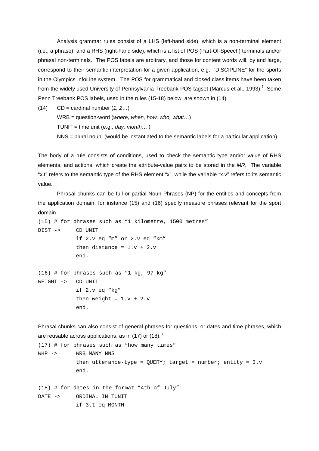Analysis grammar rules consist of a LHS (left-hand side), which is a non-terminal element (i.e., a phrase), and a RHS (right-hand side), whic his a list of POS (Part-Of-Speech) terminals and/o r phrasal non-terminals. The POS labels are arbitrar y, and those for content words will, by and large, correspond to their semantic interpretation for a g iven application, e.g., "DISCIPLINE" for the sports in the Olympics InfoLine system. The POS for gramm atical and closed class items have been taken from the widely used University of Pennsylvania Tre ebank POS tagset (Marcus et al., 1993). Penn Treebank POS labels, used in the rules (15-18) below, are shown in (14).

 $7$ Some

 $(14)$  CD=cardinal number  $(1, 2 ...)$ WRB=question-word( where, when, how, who, what ...)  $TUNIT = time unit(e.q., day, month...)$ NNS=pluralnoun(would be instantiated to the sequence manticlabels for a particular application)

The body of a rule consists of conditions, used to check the semantic type and/or value of RHS elements, and actions, which create the attribute-v alue pairs to be stored in the MR. The variable "x.t" referstothesemantic type of the RHS elemen tthe "x", while the variable "x.v" referstoits seman tic value.

Phrasal chunks can be full or partial Noun Phrases (NP) for the entities and concepts from the application domain, for instance (15) and (16) specify measure phrases relevant for the sport domain.

```
(15) # for phrases such as "1 kilometre, 1500 metres" 
DIST -> CD UNIT 
            if 2.v eq "m" or 2.v eq "km" 
            then distance = 1 \cdot v + 2 \cdot v end. 
(16) # for phrases such as "1 kg, 97 kg"
```
WEIGHT -> CD UNIT if 2.v eq "kg" then weight =  $1.v + 2.v$ end.

```
Phrasal chunks can also consist of general phrases for questions, or dates and time phrases, which
are reusable acrossapplications, as in (17) or (18 - ).<sup>8</sup>
(17) # for phrases such as "how many times" 
WHP -> WRB MANY NNS
             then utterance-type = OUERY; target = number; entity = 3.vend. 
(18) # for dates in the format "4th of July" 
DATE -> ORDINAL IN TUNIT 
              if 3.t eq MONTH
```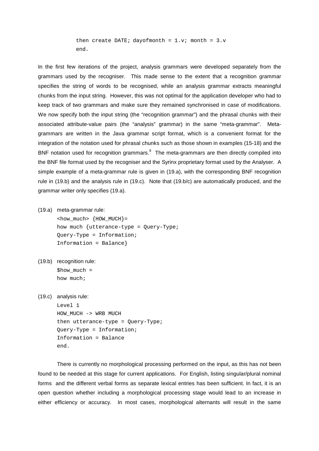then create DATE; dayofmonth =  $1.y$ ; month =  $3.y$ end.

In the first few iterations of the project, analysi s grammars were developed separately from the grammars used by the recogniser. This made sense t o the extent that a recognition grammar specifies the string of words to be recognised, whi le an analysis grammar extracts meaningful chunks from the input string. However, this was no top timal for the application developer who had to keep track of two grammars and make sure they remai ned synchronised in case of modifications. We now specify both the input string (the "recognit ion grammar") and the phrasal chunks with their associated attribute-value pairs (the "analysis" gr ammar) in the same "meta-grammar". Metagrammars are written in the Java grammar script for mat, which is a convenient format for the integration of the notation used for phrasal chunks such as thoses hown in examples (15-18) and the BNF notation used for recognition grammars.  $\degree$ The meta-grammars are then directly compiled into the BNF file format used by the recogniser and the Syrinx proprietary format used by the Analyser. A simple example of a meta-grammar rule is given in (19.a), with the corresponding BNF recognition rule in (19.b) and the analysis rule in (19.c). No te that (19.b/c) are automatically produced, and the e grammar writer only specifies (19.a).

(19.a) meta-grammarrule:

 $<$ how\_much>  $\{$  HOW\_MUCH $\}$  = how much {utterance-type = Query-Type; Query-Type = Information; Information = Balance}

(19.b) recognition rule:

 $$how much =$ how much;

(19.c) analysis rule:

Level 1 HOW\_MUCH -> WRB MUCH then utterance-type = Query-Type; Query-Type = Information; Information = Balance end.

There is currently no morphological processing perfold or med on the input, as this has not been found to be needed at this stage for current applic ations. For English, listing singular/plural nomin al forms and the different verbal forms as separate lexical entries has been sufficient. In fact, it is an open question whether including a morphological pro cessing stage would lead to an increase in either efficiency or accuracy. In most cases, morp hological alternants will result in the same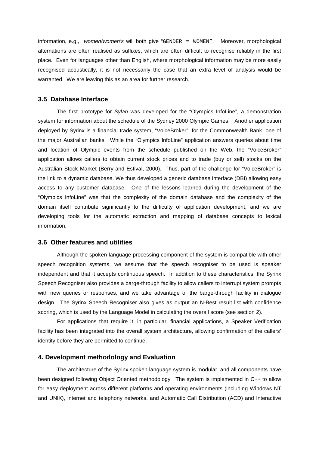place. Even for languages other than English, wher emorphological information may be more easily recognised acoustically, it is not necessarily the case that an extra level of analysis would be warranted. We are leaving this as an area for furt herresearch.

information, e.g., women/women's will both give " GENDER = WOMEN". Moreover, morphological alternations are often realised as suffixes, which are often difficult to recognise reliably in the fi rst

#### **3.5 Database Interface**

The first prototype for Sylan was developed for the "Olympics InfoLine", a demon stration system for information about the schedule of the Sy dney 2000 Olympic Games. Another application deployed by Syrinx is a financial trade system, "Vo iceBroker", for the Commonwealth Bank, one of the major Australian banks. While the "Olympics In foLine" application answers queries about time and location of Olympic events from the schedule pu blished on the Web, the "VoiceBroker" application allows callers to obtain current stock prices and to trade (buy or sell) stocks on the Australian Stock Market (Berry and Estival, 2000). Thus, part of the challenge for "VoiceBroker" is the link to adynamic database. We thus developed a generic database interface (DBI) allowing easy access to any customer database. One of the lesson s learned during the development of the "Olympics InfoLine" was that the complexity of the domain database and the complexity of the domain itself contribute significantly to the diffi culty of application development, and we are developing tools for the automatic extraction and m apping of database concepts to lexical information.

#### **3.6 Other features and utilities**

Although the spoken language processing component of the system is compatible with other speech recognition systems, we assume that the spee ch recogniser to be used is speaker independent and that it accepts continuous speech. In addition to these characteristics, the Syrinx Speech Recogniser also provides a barge-through fac ility to allow callers to interrupt system prompts with new queries or responses, and we take advantag e of the barge-through facility in dialogue design. The Syrinx Speech Recogniser also gives as output an N-Best result list with confidence scoring, which is used by the Language Model incal culating the overall score (see section 2).

For applications that require it, in particular, fi nancial applications, a Speaker Verification facility has been integrated into the overall syste m architecture, allowing confirmation of the caller s' identity before they are permitted to continue.

#### **4. Development methodology and Evaluation**

The architecture of the Syrinx spoken language syst emism odular, and all components have been designed following Object Oriented methodology . The system is implemented in C++ to allow for easy deployment across different platforms and operating environments (including Windows NT and UNIX), internet and telephony networks, and Aut omatic Call Distribution (ACD) and Interactive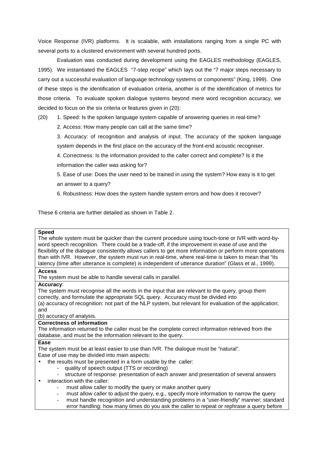Voice Response (IVR) platforms. It is scalable, wi th installations ranging from a single PC with several ports to acluste redenvironment with sever al hundred ports.

Evaluation was conducted during development using t he EAGLES methodology (EAGLES, 1995). We instantiated the EAGLES "7-step recipe" which lays out the "7 major steps necessary to carry out a successful evaluation of language techn ology systems or components" (King, 1999). One of these steps is the identification of evaluation criteria, another is of the identification of metri cs for those criteria. To evaluate spoken dialogue system s beyond mere word recognition accuracy, we decided to focus on the six criteria or features gi venin (20):

| (20) | 1.Speed:Isthespokenlanguagesystemcapabl             | eofansweringqueriesinreal-time?     |
|------|-----------------------------------------------------|-------------------------------------|
|      | 2.Access: Howmanypeoplecancallatthesametim          | e?                                  |
|      | 3. Accuracy: of recognition and analysis of input.  | The accuracy of the spoken language |
|      | systemdependsinthefirstplaceontheaccuracyo          | fthefront-endacousticrecogniser.    |
|      | 4.Correctness:Istheinformationprovidedtothe         | callercorrectandcomplete?Isitthe    |
|      | informationthecallerwasaskingfor?                   |                                     |
|      | 5. Ease of use: Does the use rneed to be trained in | usingthesystem?Howeasyisittoget     |
|      | ananswertoaquery?                                   |                                     |
|      | 6. Robustness: Howdoesthesystemhandlesystemer       | rorsandhowdoesitrecover?            |

These 6 criteria are further detailed as shown in T able 2.

| <b>Speed</b><br>Thewholesystemmustbequickerthanthecurrentp<br>rocedureusingtouch-toneorlVRwithword-by-<br>wordspeechrecognition. Therecouldbeatrade-of<br>f, if the improvement inease of useand the<br>flexibilityofthedialogueconsistentlyallowscal<br>lerstogetmoreinformationorperformmoreoperat<br>thanwithIVR.However,thesystemmustruninrea<br>I-time, where real-time is taken to mean that "its<br>endentofutteranceduration"(Glassetal., 1999).<br>latency(timeafterutteranceiscomplete)isindep |    |  |
|----------------------------------------------------------------------------------------------------------------------------------------------------------------------------------------------------------------------------------------------------------------------------------------------------------------------------------------------------------------------------------------------------------------------------------------------------------------------------------------------------------|----|--|
| <b>Access</b><br>Thesystemmustbeabletohandleseveralcallsin<br>parallel.                                                                                                                                                                                                                                                                                                                                                                                                                                  |    |  |
| Accuracy:<br>Thesystemmustrecogniseallthewordsintheinpu<br>tthatarerelevanttothequery, groupthem<br>correctly, and formulate the appropriate SQL query.<br>Accuracymustbedividedinto<br>(a)accuracyofrecognition:notpartoftheNLPsy<br>stem, butrelevantforevaluation of the applicatio<br>and<br>(b)accuracyofanalysis.                                                                                                                                                                                  | n; |  |
| Correctnessofinformation                                                                                                                                                                                                                                                                                                                                                                                                                                                                                 |    |  |
| Theinformationreturnedtothecallermustbethe<br>completecorrectinformationretrievedfromthe                                                                                                                                                                                                                                                                                                                                                                                                                 |    |  |
| database, and must be the information relevant tot<br>hequery.                                                                                                                                                                                                                                                                                                                                                                                                                                           |    |  |
| <b>Ease</b><br>ThesystemmustbeatleasteasiertousethanIVR.<br>Thedialoguemustbe"natural".                                                                                                                                                                                                                                                                                                                                                                                                                  |    |  |
| Easeofusemaybedividedintomainaspects:                                                                                                                                                                                                                                                                                                                                                                                                                                                                    |    |  |
| theresultsmustbepresentedinaformusablebyt<br>hecaller:                                                                                                                                                                                                                                                                                                                                                                                                                                                   |    |  |
| -qualityofspeechoutput(TTSorrecording)<br>-structureofresponse:presentationofeacha<br>nswerandpresentationofseveralanswers                                                                                                                                                                                                                                                                                                                                                                               |    |  |
| interactionwiththecaller:                                                                                                                                                                                                                                                                                                                                                                                                                                                                                |    |  |
| mustallowcallertomodifythequeryormakeanoth<br>erquery                                                                                                                                                                                                                                                                                                                                                                                                                                                    |    |  |
| mustallowcallertoadjustthequery,e.g.,specif<br>ymoreinformationtonarrowthequery<br>$\overline{a}$                                                                                                                                                                                                                                                                                                                                                                                                        |    |  |
| ina"user-friendly"manner;standard<br>musthandlerecognitionandunderstandingproblems<br>$\overline{a}$                                                                                                                                                                                                                                                                                                                                                                                                     |    |  |
| errorhandling:howmanytimesdoyouaskthecalle<br>rtorepeatorrephraseaquerybefore                                                                                                                                                                                                                                                                                                                                                                                                                            |    |  |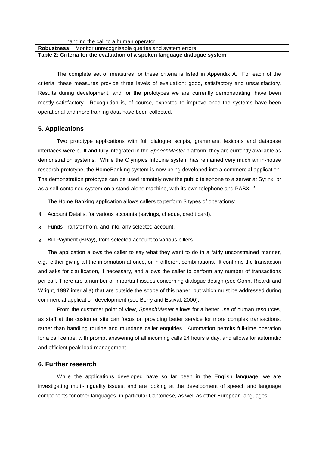| handingthecalltoahumanoperator                          |                      |
|---------------------------------------------------------|----------------------|
| Robustness: Monitorunrecognisablequeriesandsystemerrors |                      |
| Table2: Criteriafortheevaluation of aspoken la          | nguagedialoguesystem |

The complete set of measures for these criteria is listed in Appendix A. For each of the criteria, these measures provide three levels of ev aluation: good, satisfactory and unsatisfactory. Results during development, and for the prototypes we are currently demonstrating, have been mostly satisfactory. Recognition is, of course, ex pected to improve once the systems have been operational and more training data have been collec ted.

## **5. Applications**

 Two prototype applications with full dialogue scri pts, grammars, lexicons and database interfaces were built and full yintegrated in the Speech Master platform; they are currently available as demonstration systems. While the Olympics InfoLine system has remained very much an in-house research prototype, the HomeBanking system is now b eing developed into a commercial application. The demonstration prototype can be used remotely ov er the public telephone to a server at Syrinx, or as a self-contained system on a stand-alone machine , with its own telephone and PABX.

The Home Banking application allows callers to perf orm 3 types of operations:

§ Account Details, for various accounts (savings, che que, credit card).

§ Funds Transfer from, and into, any selected account

§ BillPayment(BPay), from selected account to vario us billers.

The application allows the caller to say what they want to do in a fairly unconstrained manner, e.g., either giving all the information at once, or in different combinations. It confirms the transa ction and asks for clarification, if necessary, and allow sthe caller to perform any number of transactions percall. Thereare anumber of important issues co ncerning dialoguedesign (see Gorin, Ricardiand Wright, 1997 interalia) that are outside the scope of this paper, but which must be addressed during commercial application development (see Berry and E stival, 2000).

From the customer point of view, Speech Master allows for a better use of human resources, as staff at the customer site can focus on providin gbetter service for more complex transactions, rather than handling routine and mundane caller enq uiries. Automation permits full-time operation for a call centre, with promptans we ring of all inc oming calls 24 hours aday, and allows for automatical c and efficient peak load management.

## **6. Further research**

While the applications developed have so far been  $i$  n the English language, we are investigating multi-linguality issues, and are look ing at the development of speech and language components for other languages, in particular Canto nese, as well as other European languages.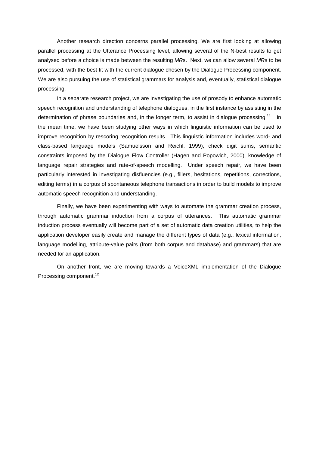parallel processing at the Utterance Processing lev el, allowing several of the N-best results to get analysed before a choice is made between the result ing MRs. Next, we can allow several MRs to be processed, with the best fit with the current dialo gue chosen by the Dialogue Processing component. We are also pursuing the use of statistical grammar sfor analysis and, eventually, statistical dialogu e processing.

Another research direction concerns parallel proce ssing. We are first looking at allowing

In a separate research project, we are investigatin g the use of prosody to enhance automatic speech recognition and understanding of telephoned ialogues, in the first instance by assisting in the determination of phrase boundaries and, in the long erterm, to assist in dialogue processing.  $11$  In the mean time, we have been studying other ways in which linguistic information can be used to improve recognition by rescoring recognition result s. This linguistic information includes word- and class-based language models (Samuelsson and Reichl, 1999), check digit sums, semantic constraints imposed by the Dialogue Flow Controller (Hagen and Popowich, 2000), knowledge of language repair strategies and rate-of-speech model ling. Under speech repair, we have been particularly interested in investigating disfluenci es (e.g., fillers, hesitations, repetitions, correc tions, editing terms) in a corpus of spontaneous telephone transactions in order to build models to improve automatic speech recognition and understanding.

Finally, we have been experimenting with ways to au tomate the grammar creation process, through automatic grammar induction from a corpus o f utterances. This automatic grammar induction processeventually will become part of a set of automatic data creation utilities, to help t he application developer easily create and manage the different types of data (e.g., lexical information, language modelling, attribute-value pairs (from bot h corpus and database) and grammars) that are needed for an application.

On another front, we are moving towards a VoiceXML implementation of the Dialogue Processing component.<sup>12</sup>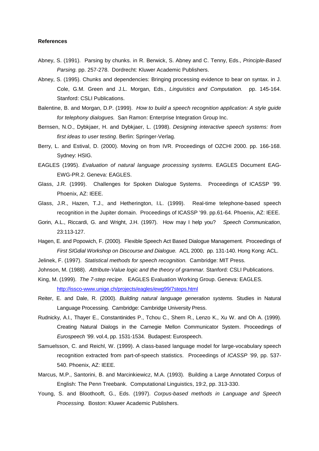#### **References**

Abney, S. (1991). Parsing by chunks. in R. Berwick , S. Abney and C. Tenny, Eds., Principle-Based Parsing.pp. 257-278. Dordrecht: Kluwer Academic Publishers.

Abney, S. (1995). Chunks and dependencies: Bringing processing evidence to bear on syntax. in J. Cole, G.M. Green and J.L. Morgan, Eds., Linguistics and Computation. pp. 145-164. Stanford: CSLI Publications.

- Balentine, B. and Morgan, D.P. (1999). How to build a speech recognition application: A st yle guide fortelephony dialogues. San Ramon: Enterprise Integration Group Inc.
- Bernsen, N.O., Dybkjaer, H. and Dybkjaer, L. (1998) . Designing interactive speech systems: from firstideastousertesting .Berlin: Springer-Verlag.
- Berry, L. and Estival, D. (2000). Moving on from IV R. Proceedings of OZCHI 2000. pp. 166-168. Sydney: HSIG.

EAGLES (1995). Evaluation of natural language processing systems. EAGLES Document EAG-EWG-PR.2. Geneva: EAGLES.

- Glass, J.R. (1999). Challenges for Spoken Dialogue Systems. Proceedings of ICASSP '99. Phoenix, AZ: IEEE.
- Glass, J.R., Hazen, T.J., and Hetherington, I.L. (1 999). Real-time telephone-based speech recognition in the Jupiter domain. Proceedings of ICASSP'99.pp.61-64. Phoenix, AZ: IEEE.
- Gorin, A.L., Riccardi, G. and Wright, J.H. (1997). How may I help you? Speech Communication, 23:113-127.
- Hagen, E. and Popowich, F. (2000). Flexible Speech Act Based Dialogue Management. Proceedings of First SIG dial Workshop on Discourse and Dialogue. ACL 2000. pp. 131-140. Hong Kong: ACL.
- Jelinek, F. (1997). Statistical methods for speech recognition. Cambridge: MIT Press.
- Johnson, M. (1988). Attribute-Value logic and the theory of grammar. Stanford: CSLI Publications.
- King, M. (1999). The 7-step recipe . EAGLES Evaluation Working Group. Geneva: EAGLES http://issco-www.unige.ch/projects/eagles/ewg99/7steps.html
- Reiter, E. and Dale, R. (2000). Building natural language generation systems. Studies in Natural LanguageProcessing. Cambridge: Cambridge Universi ty Press.
- Rudnicky, A.I., Thayer E., Constantinides P., Tchou C., Shern R., Lenzo K., Xu W. and Oh A. (1999). Creating Natural Dialogs in the Carnegie Mellon Com municator System. Proceedings of Eurospeech '99 . vol.4, pp. 1531-1534. Budapest: Eurospeech.
- Samuelsson, C. and Reichl, W. (1999). A class-based language model for large-vocabulary speech recognition extracted from part-of-speech statistic s. Proceedings of ICASSP '99 , pp. 537- 540. Phoenix, AZ: IEEE.
- Marcus, M.P., Santorini, B. and Marcinkiewicz, M.A. (1993). Building a Large Annotated Corpus of English: The Penn Treebank. Computational Linguist ics, 19:2, pp. 313-330.
- Young, S. and Bloothooft, G., Eds. (1997). Corpus-based methods in Language and Speech Processing. Boston: Kluwer Academic Publishers.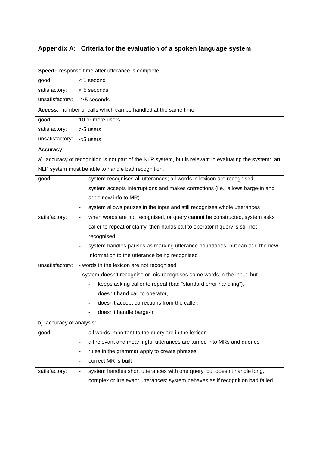# **Appendix A: Criteria for the evaluation of a spok en language system**

| Speed: responsetimeafterutteranceiscomplete |                                                                                                   |  |  |  |  |
|---------------------------------------------|---------------------------------------------------------------------------------------------------|--|--|--|--|
| good:                                       | <1second                                                                                          |  |  |  |  |
| satisfactory:                               | <5seconds                                                                                         |  |  |  |  |
| unsatisfactory:                             | $\geq$ 5seconds                                                                                   |  |  |  |  |
|                                             | Access:numberofcallswhichcanbehandledatthesame<br>time                                            |  |  |  |  |
| good:                                       | 10ormoreusers                                                                                     |  |  |  |  |
| satisfactory:                               | $>5$ users                                                                                        |  |  |  |  |
| unsatisfactory:                             | $5 users$                                                                                         |  |  |  |  |
| <b>Accuracy</b>                             |                                                                                                   |  |  |  |  |
|                                             | a)accuracyofrecognitionisnotpartoftheNLP<br>system, butisrelevantinevaluating the system:<br>an   |  |  |  |  |
|                                             | NLPsystemmustbeabletohandlebadrecognition.                                                        |  |  |  |  |
| good:                                       | systemrecognisesallutterances;allwordsinlexi<br>conarerecognised<br>$\overline{\phantom{a}}$      |  |  |  |  |
|                                             | systemacceptsinterruptions_andmakescorrections(i.e.,allowsbarge-inand                             |  |  |  |  |
|                                             | addsnewinfotoMR)                                                                                  |  |  |  |  |
|                                             | systemallowspauses_intheinputandstillrecogniseswholeutterances<br>$\overline{\phantom{0}}$        |  |  |  |  |
| satisfactory:                               | whenwordsarenotrecognised, or query cannot bec<br>onstructed, systemasks<br>$\frac{1}{2}$         |  |  |  |  |
|                                             | ratorifqueryisstillnot<br>callertorepeatorclarify, then handscall toope                           |  |  |  |  |
|                                             | recognised                                                                                        |  |  |  |  |
|                                             | systemhandlespausesasmarkingutteranceboundari<br>es, butcanadd thenew<br>$\overline{\phantom{0}}$ |  |  |  |  |
|                                             | informationtotheutterancebeingrecognised                                                          |  |  |  |  |
| unsatisfactory:                             | -wordsinthelexiconarenotrecognised                                                                |  |  |  |  |
|                                             | -systemdoesn'trecogniseormis-recognisessomew<br>ordsintheinput, but                               |  |  |  |  |
|                                             | keepsaskingcallertorepeat(bad"standarderror<br>handling"),                                        |  |  |  |  |
|                                             | doesn'thandcalltooperator,                                                                        |  |  |  |  |
|                                             | doesn'tacceptcorrectionsfromthecaller,                                                            |  |  |  |  |
|                                             | doesn'thandlebarge-in                                                                             |  |  |  |  |
| b)accuracyofanalysis:                       |                                                                                                   |  |  |  |  |
| good:                                       | allwordsimportanttothequeryareinthelexicon                                                        |  |  |  |  |
|                                             | allrelevantandmeaningfulutterancesareturnedi<br>ntoMRsandqueries<br>$\overline{\phantom{0}}$      |  |  |  |  |
|                                             | rulesinthegrammarapplytocreatephrases<br>$\overline{\phantom{0}}$                                 |  |  |  |  |
|                                             | correctMRisbuilt<br>$\qquad \qquad \blacksquare$                                                  |  |  |  |  |
| satisfactory:                               | systemhandlesshortutteranceswithonequery,but<br>doesn'thandlelong,<br>$\blacksquare$              |  |  |  |  |
|                                             | complexorirrelevantutterances:systembehavesas<br>ifrecognitionhadfailed                           |  |  |  |  |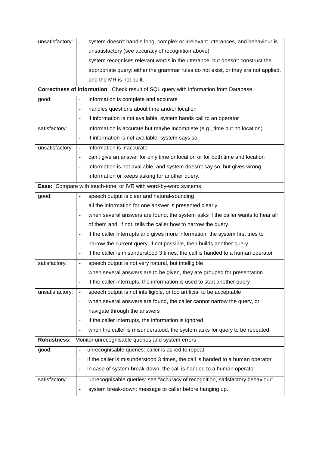| unsatisfactory:                                                                 | systemdoesn'thandlelong,complexorirrelevantu<br>tterances, and behaviouris<br>$\frac{1}{2}$         |  |  |  |
|---------------------------------------------------------------------------------|-----------------------------------------------------------------------------------------------------|--|--|--|
|                                                                                 | unsatisfactory(seeaccuracyofrecognitionabove)                                                       |  |  |  |
|                                                                                 | systemrecognisesrelevantwordsintheutterance,<br>butdoesn'tconstructthe                              |  |  |  |
|                                                                                 | appropriatequery:eitherthegrammarrulesdonot<br>exist, ortheyarenotapplied,                          |  |  |  |
|                                                                                 | andtheMRisnotbuilt.                                                                                 |  |  |  |
| Correctnessofinformation : CheckresultofSQLquerywithinformationfrom<br>Database |                                                                                                     |  |  |  |
| good:                                                                           | informationiscompleteandaccurate<br>$\blacksquare$                                                  |  |  |  |
|                                                                                 | handlesquestionsabouttimeand/orlocation<br>$\blacksquare$                                           |  |  |  |
|                                                                                 | ifinformationisnotavailable, systemhandscall<br>toanoperator<br>$\qquad \qquad \blacksquare$        |  |  |  |
| satisfactory:                                                                   | informationisaccuratebutmaybeincomplete(e.g.,<br>timebutnolocation)<br>$\qquad \qquad \blacksquare$ |  |  |  |
|                                                                                 | ifinformationisnotavailable, systemsaysso                                                           |  |  |  |
| unsatisfactory:                                                                 | informationisinaccurate<br>$\Box$                                                                   |  |  |  |
|                                                                                 | can'tgiveananswerforonlytimeorlocationorf<br>orbothtimeandlocation<br>$\blacksquare$                |  |  |  |
|                                                                                 | informationisnotavailable, and system doesn'tsa<br>yso, butgives wrong<br>$\overline{\phantom{a}}$  |  |  |  |
|                                                                                 | informationorkeepsaskingforanotherquery.                                                            |  |  |  |
| Ease: Comparewithtouch-tone,orlVRwithword-by-word<br>systems.                   |                                                                                                     |  |  |  |
| good:                                                                           | speechoutputisclearandnatural-sounding<br>$\overline{\phantom{a}}$                                  |  |  |  |
|                                                                                 | alltheinformationforoneanswerispresentedcle<br>arly<br>$\blacksquare$                               |  |  |  |
|                                                                                 | whenseveralanswersarefound, the systemasks if<br>thecallerwantstohearall<br>$\blacksquare$          |  |  |  |
|                                                                                 | ofthemand, ifnot, tells the caller how to narrow<br>thequery                                        |  |  |  |
|                                                                                 | ifthecallerinterruptsandgivesmoreinformation<br>,thesystemfirsttriesto<br>$\blacksquare$            |  |  |  |
|                                                                                 | narrowthecurrentquery;ifnotpossible, thenbui<br>Idsanotherquery                                     |  |  |  |
|                                                                                 | ifthecallerismisunderstood3times,thecallis<br>handedtoahumanoperator<br>$\blacksquare$              |  |  |  |
| satisfactory:                                                                   | speechoutputisnotverynatural, butintelligible<br>$\blacksquare$                                     |  |  |  |
|                                                                                 | whenseveralanswersaretobegiven, theyaregrou<br>pedforpresentation<br>$\overline{a}$                 |  |  |  |
|                                                                                 | ifthecallerinterrupts, theinformationisusedt<br>ostartanotherquery<br>$\overline{a}$                |  |  |  |
| unsatisfactory:                                                                 | speechoutputisnotintelligible, ortooartificia<br>Itobeacceptable<br>$\Box$                          |  |  |  |
|                                                                                 | whenseveralanswersarefound, the caller cannotn<br>arrowthequery, or<br>$\blacksquare$               |  |  |  |
|                                                                                 | navigatethroughtheanswers                                                                           |  |  |  |
|                                                                                 | ifthecallerinterrupts, theinformationisignore<br>d<br>$\overline{a}$                                |  |  |  |
|                                                                                 | whenthecallerismisunderstood, the systemasksf<br>orquerytoberepeated.<br>$\blacksquare$             |  |  |  |
|                                                                                 | Robustness: Monitorunrecognisablequeriesandsystemerrors                                             |  |  |  |
| good:                                                                           | unrecognisablequeries:callerisaskedtorepeat<br>$\overline{a}$                                       |  |  |  |
|                                                                                 | ifthecallerismisunderstood3times, thecallis<br>handedtoahumanoperator<br>$\overline{\phantom{a}}$   |  |  |  |
|                                                                                 | incaseofsystembreak-down, the callishanded to<br>ahumanoperator<br>$\overline{\phantom{0}}$         |  |  |  |
| satisfactory:                                                                   | unrecognisablequeries:see"accuracyofrecognitio<br>n,satisfactorybehaviour"<br>$\frac{1}{2}$         |  |  |  |
|                                                                                 | systembreak-down:messagetocallerbeforehanging<br>up.<br>$\overline{\phantom{a}}$                    |  |  |  |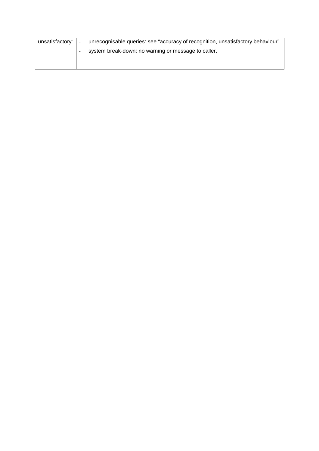| unsatisfactory: | $\sim$                   | unrecognisablequeries:see"accuracyofrecognitio | n, unsatisfactorybehaviour" |
|-----------------|--------------------------|------------------------------------------------|-----------------------------|
|                 | $\overline{\phantom{a}}$ | systembreak-down:nowarningormessagetocaller.   |                             |
|                 |                          |                                                |                             |
|                 |                          |                                                |                             |